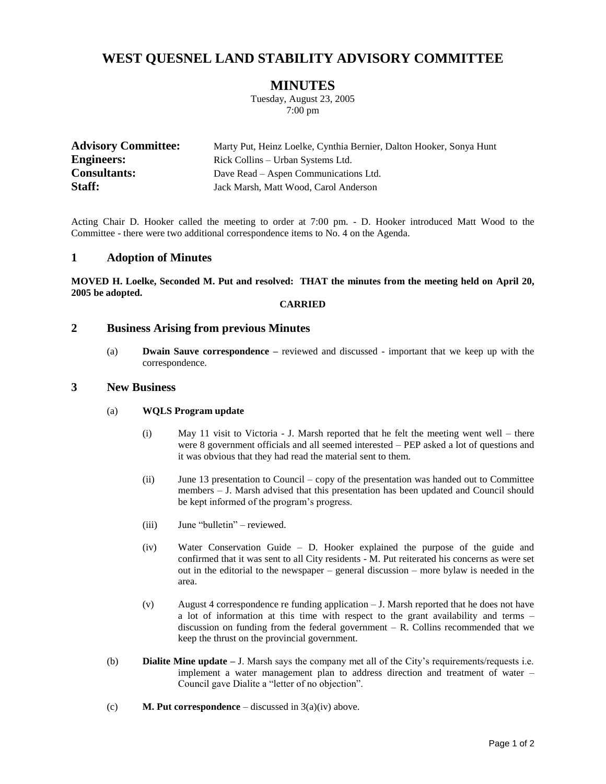# **WEST QUESNEL LAND STABILITY ADVISORY COMMITTEE**

# **MINUTES**

Tuesday, August 23, 2005 7:00 pm

| <b>Advisory Committee:</b> | Marty Put, Heinz Loelke, Cynthia Bernier, Dalton Hooker, Sonya Hunt |
|----------------------------|---------------------------------------------------------------------|
| <b>Engineers:</b>          | Rick Collins – Urban Systems Ltd.                                   |
| <b>Consultants:</b>        | Dave Read – Aspen Communications Ltd.                               |
| Staff:                     | Jack Marsh, Matt Wood, Carol Anderson                               |

Acting Chair D. Hooker called the meeting to order at 7:00 pm. - D. Hooker introduced Matt Wood to the Committee - there were two additional correspondence items to No. 4 on the Agenda.

### **1 Adoption of Minutes**

**MOVED H. Loelke, Seconded M. Put and resolved: THAT the minutes from the meeting held on April 20, 2005 be adopted.**

### **CARRIED**

## **2 Business Arising from previous Minutes**

(a) **Dwain Sauve correspondence –** reviewed and discussed - important that we keep up with the correspondence.

## **3 New Business**

#### (a) **WQLS Program update**

- (i) May 11 visit to Victoria J. Marsh reported that he felt the meeting went well there were 8 government officials and all seemed interested – PEP asked a lot of questions and it was obvious that they had read the material sent to them.
- (ii) June 13 presentation to Council copy of the presentation was handed out to Committee members – J. Marsh advised that this presentation has been updated and Council should be kept informed of the program's progress.
- (iii) June "bulletin" reviewed.
- (iv) Water Conservation Guide D. Hooker explained the purpose of the guide and confirmed that it was sent to all City residents - M. Put reiterated his concerns as were set out in the editorial to the newspaper – general discussion – more bylaw is needed in the area.
- (v) August 4 correspondence re funding application J. Marsh reported that he does not have a lot of information at this time with respect to the grant availability and terms – discussion on funding from the federal government  $- R$ . Collins recommended that we keep the thrust on the provincial government.
- (b) **Dialite Mine update –** J. Marsh says the company met all of the City's requirements/requests i.e. implement a water management plan to address direction and treatment of water – Council gave Dialite a "letter of no objection".
- (c) **M. Put correspondence** discussed in 3(a)(iv) above.